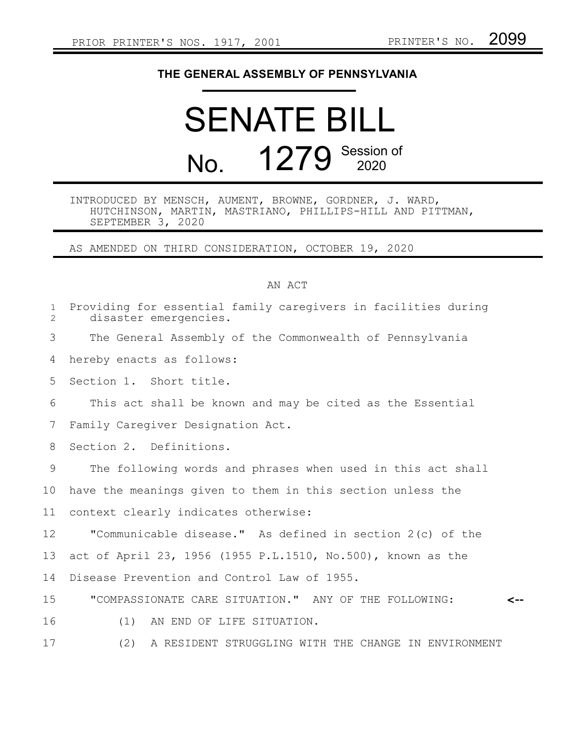## **THE GENERAL ASSEMBLY OF PENNSYLVANIA**

## SENATE BILL No. 1279 Session of

## INTRODUCED BY MENSCH, AUMENT, BROWNE, GORDNER, J. WARD, HUTCHINSON, MARTIN, MASTRIANO, PHILLIPS-HILL AND PITTMAN, SEPTEMBER 3, 2020

AS AMENDED ON THIRD CONSIDERATION, OCTOBER 19, 2020

## AN ACT

| $\mathbf 1$<br>$\overline{2}$ | Providing for essential family caregivers in facilities during<br>disaster emergencies. |
|-------------------------------|-----------------------------------------------------------------------------------------|
| 3                             | The General Assembly of the Commonwealth of Pennsylvania                                |
| 4                             | hereby enacts as follows:                                                               |
| 5                             | Section 1. Short title.                                                                 |
| 6                             | This act shall be known and may be cited as the Essential                               |
| 7                             | Family Caregiver Designation Act.                                                       |
| 8                             | Section 2. Definitions.                                                                 |
| 9                             | The following words and phrases when used in this act shall                             |
| 10                            | have the meanings given to them in this section unless the                              |
| 11                            | context clearly indicates otherwise:                                                    |
| 12                            | "Communicable disease." As defined in section 2(c) of the                               |
| 13                            | act of April 23, 1956 (1955 P.L.1510, No.500), known as the                             |
| 14                            | Disease Prevention and Control Law of 1955.                                             |
| 15                            | "COMPASSIONATE CARE SITUATION." ANY OF THE FOLLOWING:                                   |
| 16                            | AN END OF LIFE SITUATION.<br>(1)                                                        |
| 17                            | (2)<br>A RESIDENT STRUGGLING WITH THE CHANGE IN ENVIRONMENT                             |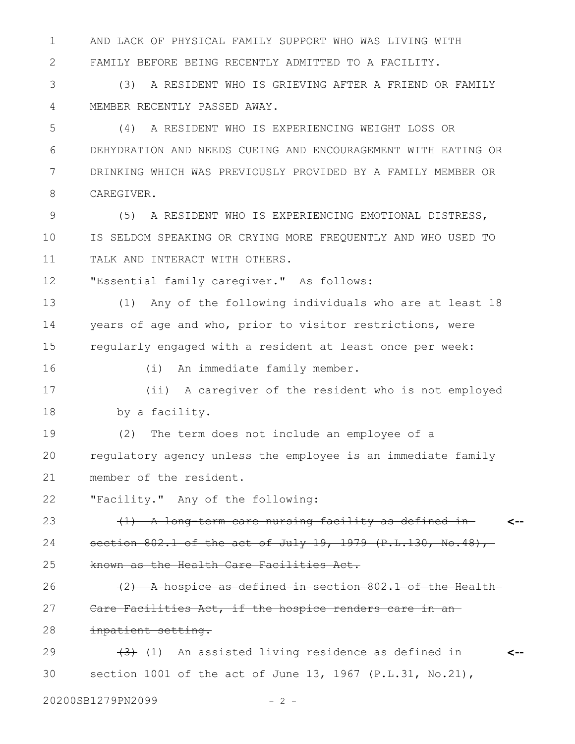AND LACK OF PHYSICAL FAMILY SUPPORT WHO WAS LIVING WITH FAMILY BEFORE BEING RECENTLY ADMITTED TO A FACILITY. 1 2

(3) A RESIDENT WHO IS GRIEVING AFTER A FRIEND OR FAMILY MEMBER RECENTLY PASSED AWAY. 3 4

(4) A RESIDENT WHO IS EXPERIENCING WEIGHT LOSS OR DEHYDRATION AND NEEDS CUEING AND ENCOURAGEMENT WITH EATING OR DRINKING WHICH WAS PREVIOUSLY PROVIDED BY A FAMILY MEMBER OR CAREGIVER. 5 6 7 8

(5) A RESIDENT WHO IS EXPERIENCING EMOTIONAL DISTRESS, IS SELDOM SPEAKING OR CRYING MORE FREQUENTLY AND WHO USED TO TALK AND INTERACT WITH OTHERS. 9 10 11

"Essential family caregiver." As follows: 12

(1) Any of the following individuals who are at least 18 years of age and who, prior to visitor restrictions, were regularly engaged with a resident at least once per week: 13 14 15

16

(i) An immediate family member.

(ii) A caregiver of the resident who is not employed by a facility. 17 18

(2) The term does not include an employee of a regulatory agency unless the employee is an immediate family member of the resident. 19 20 21

"Facility." Any of the following: 22

(1) A long-term care nursing facility as defined in section 802.1 of the act of July 19, 1979 (P.L.130, No.48), known as the Health Care Facilities Act. **<--** 23 24 25

(2) A hospice as defined in section 802.1 of the Health Care Facilities Act, if the hospice renders care in an 26 27

inpatient setting. 28

 $(3)$  (1) An assisted living residence as defined in section 1001 of the act of June 13, 1967  $(P.L.31, No.21)$ , **<--** 29 30

20200SB1279PN2099 - 2 -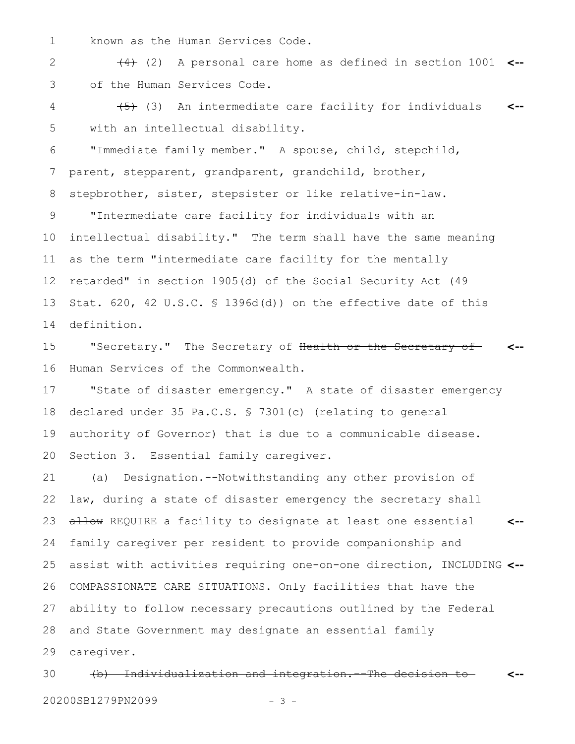known as the Human Services Code. 1

(4) (2) A personal care home as defined in section 1001 **<-** of the Human Services Code. 2 3

 $(5)$  (3) An intermediate care facility for individuals with an intellectual disability. **<--** 4 5

"Immediate family member." A spouse, child, stepchild, parent, stepparent, grandparent, grandchild, brother, 6 7

stepbrother, sister, stepsister or like relative-in-law. 8

"Intermediate care facility for individuals with an intellectual disability." The term shall have the same meaning as the term "intermediate care facility for the mentally retarded" in section 1905(d) of the Social Security Act (49 Stat. 620, 42 U.S.C. § 1396d(d)) on the effective date of this definition. 9 10 11 12 13 14

"Secretary." The Secretary of Health or the Secretary of Human Services of the Commonwealth. **<--** 15 16

"State of disaster emergency." A state of disaster emergency declared under 35 Pa.C.S. § 7301(c) (relating to general authority of Governor) that is due to a communicable disease. Section 3. Essential family caregiver. 17 18 19 20

(a) Designation.--Notwithstanding any other provision of law, during a state of disaster emergency the secretary shall allow REQUIRE a facility to designate at least one essential family caregiver per resident to provide companionship and assist with activities requiring one-on-one direction, INCLUDING **<--** COMPASSIONATE CARE SITUATIONS. Only facilities that have the ability to follow necessary precautions outlined by the Federal and State Government may designate an essential family caregiver. **<--** 21 22 23 24 25 26 27 28 29

(b) Individualization and integration.--The decision to **<--** 30

20200SB1279PN2099 - 3 -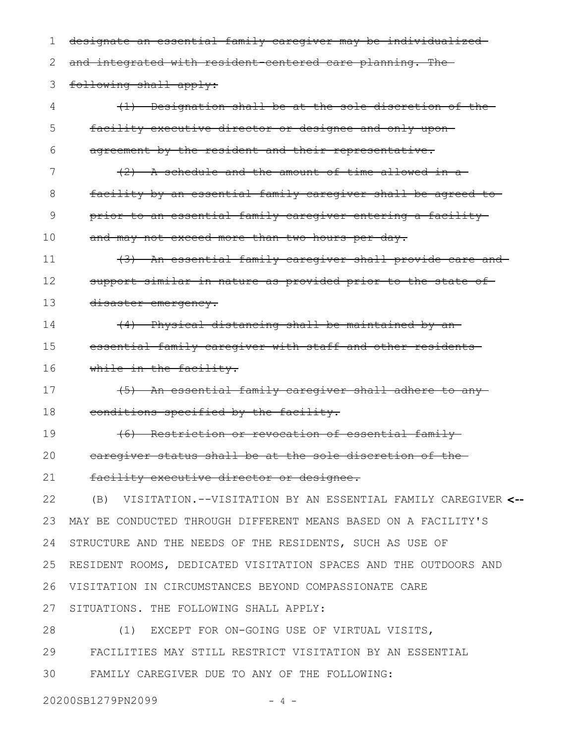designate an essential family caregiver may be individualized and integrated with resident-centered care planning. The following shall apply: (1) Designation shall be at the sole discretion of the facility executive director or designee and only upon agreement by the resident and their representative. (2) A schedule and the amount of time allowed in a facility by an essential family caregiver shall be agreed to prior to an essential family caregiver entering a facility and may not exceed more than two hours per day. (3) An essential family caregiver shall provide care and support similar in nature as provided prior to the state of disaster emergency. (4) Physical distancing shall be maintained by an essential family caregiver with staff and other residents while in the facility. (5) An essential family caregiver shall adhere to any conditions specified by the facility. (6) Restriction or revocation of essential family caregiver status shall be at the sole discretion of the facility executive director or designee. (B) VISITATION.--VISITATION BY AN ESSENTIAL FAMILY CAREGIVER **<--** MAY BE CONDUCTED THROUGH DIFFERENT MEANS BASED ON A FACILITY'S STRUCTURE AND THE NEEDS OF THE RESIDENTS, SUCH AS USE OF RESIDENT ROOMS, DEDICATED VISITATION SPACES AND THE OUTDOORS AND VISITATION IN CIRCUMSTANCES BEYOND COMPASSIONATE CARE SITUATIONS. THE FOLLOWING SHALL APPLY: (1) EXCEPT FOR ON-GOING USE OF VIRTUAL VISITS, FACILITIES MAY STILL RESTRICT VISITATION BY AN ESSENTIAL FAMILY CAREGIVER DUE TO ANY OF THE FOLLOWING: 1 2 3 4 5 6 7 8 9 10 11 12 13 14 15 16 17 18 19 20 21 22 23 24 25 26 27 28 29 30

20200SB1279PN2099 - 4 -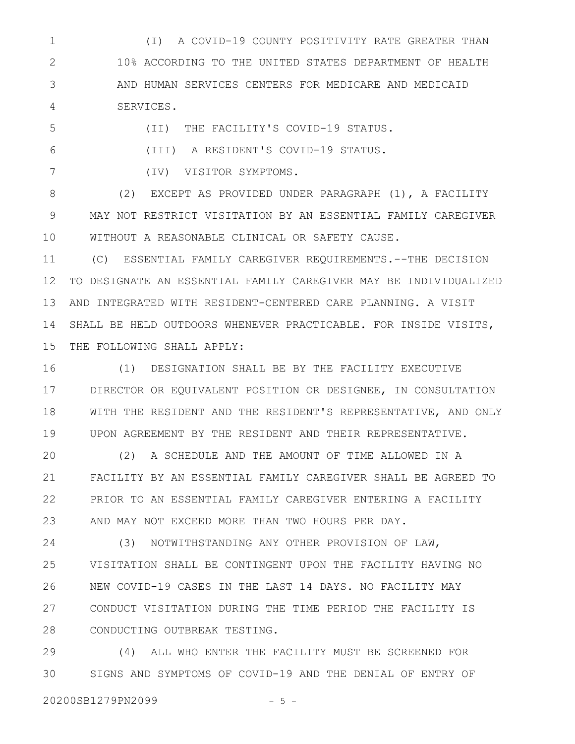(I) A COVID-19 COUNTY POSITIVITY RATE GREATER THAN 10% ACCORDING TO THE UNITED STATES DEPARTMENT OF HEALTH AND HUMAN SERVICES CENTERS FOR MEDICARE AND MEDICAID SERVICES. 1 2 3 4

5

6

(II) THE FACILITY'S COVID-19 STATUS.

(III) A RESIDENT'S COVID-19 STATUS.

7

(IV) VISITOR SYMPTOMS.

(2) EXCEPT AS PROVIDED UNDER PARAGRAPH (1), A FACILITY MAY NOT RESTRICT VISITATION BY AN ESSENTIAL FAMILY CAREGIVER WITHOUT A REASONABLE CLINICAL OR SAFETY CAUSE. 8 9 10

(C) ESSENTIAL FAMILY CAREGIVER REQUIREMENTS.--THE DECISION TO DESIGNATE AN ESSENTIAL FAMILY CAREGIVER MAY BE INDIVIDUALIZED AND INTEGRATED WITH RESIDENT-CENTERED CARE PLANNING. A VISIT SHALL BE HELD OUTDOORS WHENEVER PRACTICABLE. FOR INSIDE VISITS, THE FOLLOWING SHALL APPLY: 11 12 13 14 15

(1) DESIGNATION SHALL BE BY THE FACILITY EXECUTIVE DIRECTOR OR EQUIVALENT POSITION OR DESIGNEE, IN CONSULTATION WITH THE RESIDENT AND THE RESIDENT'S REPRESENTATIVE, AND ONLY UPON AGREEMENT BY THE RESIDENT AND THEIR REPRESENTATIVE. 16 17 18 19

(2) A SCHEDULE AND THE AMOUNT OF TIME ALLOWED IN A FACILITY BY AN ESSENTIAL FAMILY CAREGIVER SHALL BE AGREED TO PRIOR TO AN ESSENTIAL FAMILY CAREGIVER ENTERING A FACILITY AND MAY NOT EXCEED MORE THAN TWO HOURS PER DAY. 20 21 22 23

(3) NOTWITHSTANDING ANY OTHER PROVISION OF LAW, VISITATION SHALL BE CONTINGENT UPON THE FACILITY HAVING NO NEW COVID-19 CASES IN THE LAST 14 DAYS. NO FACILITY MAY CONDUCT VISITATION DURING THE TIME PERIOD THE FACILITY IS CONDUCTING OUTBREAK TESTING. 24 25 26 27 28

(4) ALL WHO ENTER THE FACILITY MUST BE SCREENED FOR SIGNS AND SYMPTOMS OF COVID-19 AND THE DENIAL OF ENTRY OF 29 30

20200SB1279PN2099 - 5 -